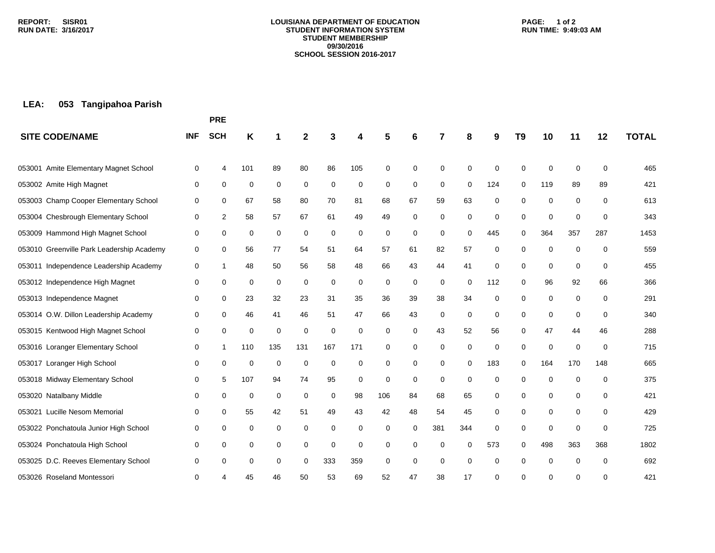#### **LOUISIANA DEPARTMENT OF EDUCATION STUDENT INFORMATION SYSTEM STUDENT MEMBERSHIP 09/30/2016 SCHOOL SESSION 2016-2017**

### **PAGE: 1 of 2 RUN TIME: 9:49:03 AM**

# **LEA: 053 Tangipahoa Parish**

|                                           |            | <b>PRE</b>  |     |             |             |             |     |     |             |             |             |     |             |             |             |          |              |
|-------------------------------------------|------------|-------------|-----|-------------|-------------|-------------|-----|-----|-------------|-------------|-------------|-----|-------------|-------------|-------------|----------|--------------|
| <b>SITE CODE/NAME</b>                     | <b>INF</b> | <b>SCH</b>  | Κ   |             | 2           |             | 4   | 5   | 6           |             | 8           | 9   | T9          | 10          | 11          | 12       | <b>TOTAL</b> |
| Amite Elementary Magnet School<br>053001  | 0          | 4           | 101 | 89          | 80          | 86          | 105 | 0   | 0           | 0           | $\Omega$    | 0   | $\mathbf 0$ | $\mathbf 0$ | 0           | 0        | 465          |
| 053002 Amite High Magnet                  | 0          | 0           | 0   | $\mathbf 0$ | 0           | 0           | 0   | 0   | 0           | 0           | $\mathbf 0$ | 124 | 0           | 119         | 89          | 89       | 421          |
| 053003 Champ Cooper Elementary School     | 0          | 0           | 67  | 58          | 80          | 70          | 81  | 68  | 67          | 59          | 63          | 0   | 0           | $\mathbf 0$ | 0           | 0        | 613          |
| 053004 Chesbrough Elementary School       | 0          | 2           | 58  | 57          | 67          | 61          | 49  | 49  | $\mathbf 0$ | 0           | 0           | 0   | 0           | $\mathbf 0$ | 0           | 0        | 343          |
| 053009 Hammond High Magnet School         | 0          | 0           | 0   | 0           | 0           | 0           | 0   | 0   | 0           | 0           | 0           | 445 | 0           | 364         | 357         | 287      | 1453         |
| 053010 Greenville Park Leadership Academy | 0          | 0           | 56  | 77          | 54          | 51          | 64  | 57  | 61          | 82          | 57          | 0   | 0           | 0           | $\mathbf 0$ | 0        | 559          |
| 053011 Independence Leadership Academy    | 0          | 1           | 48  | 50          | 56          | 58          | 48  | 66  | 43          | 44          | 41          | 0   | 0           | $\mathbf 0$ | $\mathbf 0$ | 0        | 455          |
| 053012 Independence High Magnet           | 0          | 0           | 0   | 0           | 0           | 0           | 0   | 0   | 0           | 0           | $\Omega$    | 112 | 0           | 96          | 92          | 66       | 366          |
| 053013 Independence Magnet                | 0          | 0           | 23  | 32          | 23          | 31          | 35  | 36  | 39          | 38          | 34          | 0   | 0           | 0           | 0           | 0        | 291          |
| 053014 O.W. Dillon Leadership Academy     | 0          | 0           | 46  | 41          | 46          | 51          | 47  | 66  | 43          | 0           | 0           | 0   | 0           | 0           | $\mathbf 0$ | 0        | 340          |
| 053015 Kentwood High Magnet School        | 0          | $\mathbf 0$ | 0   | $\mathbf 0$ | $\mathbf 0$ | $\mathbf 0$ | 0   | 0   | 0           | 43          | 52          | 56  | 0           | 47          | 44          | 46       | 288          |
| 053016 Loranger Elementary School         | 0          | 1           | 110 | 135         | 131         | 167         | 171 | 0   | 0           | 0           | 0           | 0   | 0           | $\mathbf 0$ | 0           | 0        | 715          |
| 053017 Loranger High School               | 0          | $\mathbf 0$ | 0   | 0           | $\mathbf 0$ | 0           | 0   | 0   | 0           | 0           | 0           | 183 | 0           | 164         | 170         | 148      | 665          |
| 053018 Midway Elementary School           | 0          | 5           | 107 | 94          | 74          | 95          | 0   | 0   | 0           | $\mathbf 0$ | 0           | 0   | 0           | 0           | $\Omega$    | 0        | 375          |
| 053020 Natalbany Middle                   | 0          | 0           | 0   | 0           | 0           | 0           | 98  | 106 | 84          | 68          | 65          | 0   | 0           | 0           | 0           | 0        | 421          |
| 053021 Lucille Nesom Memorial             | 0          | 0           | 55  | 42          | 51          | 49          | 43  | 42  | 48          | 54          | 45          | 0   | 0           | $\mathbf 0$ | 0           | 0        | 429          |
| 053022 Ponchatoula Junior High School     | 0          | 0           | 0   | 0           | 0           | 0           | 0   | 0   | 0           | 381         | 344         | 0   | 0           | 0           | 0           | 0        | 725          |
| 053024 Ponchatoula High School            | 0          | 0           | 0   | 0           | 0           | 0           | 0   | 0   | 0           | 0           | 0           | 573 | 0           | 498         | 363         | 368      | 1802         |
| 053025 D.C. Reeves Elementary School      | 0          | 0           | 0   | 0           | 0           | 333         | 359 | 0   | 0           | $\mathbf 0$ | 0           | 0   | 0           | 0           | $\mathbf 0$ | $\Omega$ | 692          |
| 053026 Roseland Montessori                | 0          |             | 45  | 46          | 50          | 53          | 69  | 52  | 47          | 38          | 17          | 0   | 0           | ∩           | 0           | 0        | 421          |